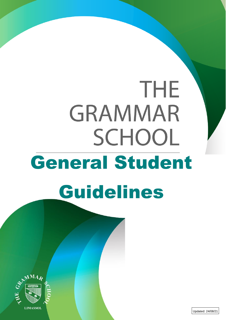# THE **GRAMMAR** SCHOOL General Student Guidelines



Updated: 24/08/21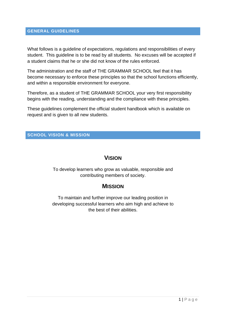## **GENERAL GUIDELINES**

What follows is a guideline of expectations, regulations and responsibilities of every student. This guideline is to be read by all students. No excuses will be accepted if a student claims that he or she did not know of the rules enforced.

The administration and the staff of THE GRAMMAR SCHOOL feel that it has become necessary to enforce these principles so that the school functions efficiently, and within a responsible environment for everyone.

Therefore, as a student of THE GRAMMAR SCHOOL your very first responsibility begins with the reading, understanding and the compliance with these principles.

These guidelines complement the official student handbook which is available on request and is given to all new students.

### **SCHOOL VISION & MISSION**

# **VISION**

To develop learners who grow as valuable, responsible and contributing members of society.

# **MISSION**

To maintain and further improve our leading position in developing successful learners who aim high and achieve to the best of their abilities.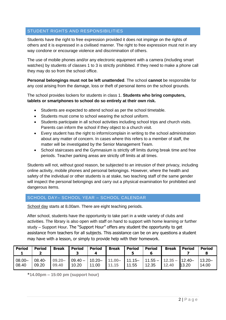# STUDENT RIGHTS AND RESPONSIBILITIES

Students have the right to free expression provided it does not impinge on the rights of others and it is expressed in a civilised manner. The right to free expression must not in any way condone or encourage violence and discrimination of others.

The use of mobile phones and/or any electronic equipment with a camera (including smart watches) by students of classes 1 to 3 is strictly prohibited. If they need to make a phone call they may do so from the school office.

**Personal belongings must not be left unattended**. The school **cannot** be responsible for any cost arising from the damage, loss or theft of personal items on the school grounds.

The school provides lockers for students in class 1. **Students who bring computers, tablets or smartphones to school do so entirely at their own risk.**

- Students are expected to attend school as per the school timetable.
- Students must come to school wearing the school uniform.
- Students participate in all school activities including school trips and church visits. Parents can inform the school if they object to a church visit.
- Every student has the right to inform/complain in writing to the school administration about any matter of concern. In cases where this refers to a member of staff, the matter will be investigated by the Senior Management Team.
- School staircases and the Gymnasium is strictly off limits during break time and free periods. Teacher parking areas are strictly off limits at all times.

Students will not, without good reason, be subjected to an intrusion of their privacy, including online activity, mobile phones and personal belongings. However, where the health and safety of the individual or other students is at stake, two teaching staff of the same gender will inspect the personal belongings and carry out a physical examination for prohibited and dangerous items.

#### SCHOOL DAY– SCHOOL YEAR – SCHOOL CALENDAR

School day starts at 8.00am. There are eight teaching periods.

After school, students have the opportunity to take part in a wide variety of clubs and activities. The library is also open with staff on hand to support with home learning or further study – Support Hour. The "Support Hour" offers any student the opportunity to get assistance from teachers for all subjects. This assistance can be on any questions a student may have with a lesson, or simply to provide help with their homework.

| <b>Period</b>      | <b>Period</b> | <b>Break</b>               | <b>Period</b> | <b>Period</b><br>4 | <b>Break</b> | <b>Period</b> | <b>Period</b>                                                                            | <b>Break</b> | <b>Period</b> | <b>Period</b>      |
|--------------------|---------------|----------------------------|---------------|--------------------|--------------|---------------|------------------------------------------------------------------------------------------|--------------|---------------|--------------------|
| $08.00 -$<br>08.40 | 09.20         | $08.40 - 09.20 -$<br>09.40 | 10.20         | 11.00              | 11.15        | 11.55         | $\vert$ 09.40 - $\vert$ 10.20 - $\vert$ 11.00 - 11.15 - 11.55 - 12.35 - 12.40 -<br>12.35 | 12.40        | 13.20         | $13.20 -$<br>14.00 |

\***14.00pm – 15:00 pm (support hour)**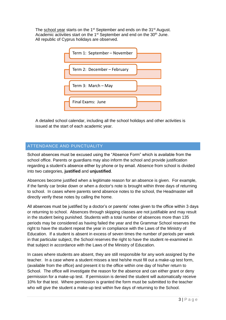The school year starts on the 1<sup>st</sup> September and ends on the 31<sup>st</sup> August. Academic activities start on the 1<sup>st</sup> September and end on the 30<sup>th</sup> June. All republic of Cyprus holidays are observed.



A detailed school calendar, including all the school holidays and other activities is issued at the start of each academic year.

## ATTENDANCE AND PUNCTUALITY

School absences must be excused using the "Absence Form" which is available from the school office. Parents or guardians may also inform the school and provide justification regarding a student's absence either by phone or by email. Absence from school is divided into two categories, **justified** and **unjustified**.

Absences become justified when a legitimate reason for an absence is given. For example, if the family car broke down or when a doctor's note is brought within three days of returning to school. In cases where parents send absence notes to the school, the Headmaster will directly verify these notes by calling the home.

All absences must be justified by a doctor's or parents' notes given to the office within 3 days or returning to school. Absences through skipping classes are not justifiable and may result in the student being punished. Students with a total number of absences more than 135 periods may be considered as having failed the year and the Grammar School reserves the right to have the student repeat the year in compliance with the Laws of the Ministry of Education. If a student is absent in excess of seven times the number of periods per week in that particular subject, the School reserves the right to have the student re-examined in that subject in accordance with the Laws of the Ministry of Education.

In cases where students are absent, they are still responsible for any work assigned by the teacher. In a case where a student misses a test he/she must fill out a make-up test form, (available from the office) and present it to the office within one day of his/her return to School. The office will investigate the reason for the absence and can either grant or deny permission for a make-up test. If permission is denied the student will automatically receive 10% for that test. Where permission is granted the form must be submitted to the teacher who will give the student a make-up test within five days of returning to the School.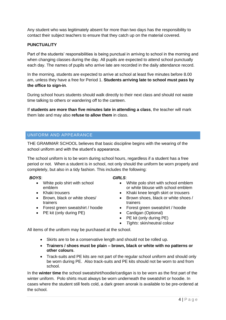Any student who was legitimately absent for more than two days has the responsibility to contact their subject teachers to ensure that they catch up on the material covered.

#### **PUNCTUALITY**

Part of the students' responsibilities is being punctual in arriving to school in the morning and when changing classes during the day. All pupils are expected to attend school punctually each day. The names of pupils who arrive late are recorded in the daily attendance record.

In the morning, students are expected to arrive at school at least five minutes before 8.00 am, unless they have a free for Period 1. **Students arriving late to school must pass by the office to sign-in**.

During school hours students should walk directly to their next class and should not waste time talking to others or wandering off to the canteen.

If **students are more than five minutes late in attending a class**, the teacher will mark them late and may also **refuse to allow them** in class.

### UNIFORM AND APPEARANCE

THE GRAMMAR SCHOOL believes that basic discipline begins with the wearing of the school uniform and with the student's appearance.

The school uniform is to be worn during school hours, regardless if a student has a free period or not. When a student is in school, not only should the uniform be worn properly and completely, but also in a tidy fashion. This includes the following:

#### *BOYS*:

- White polo shirt with school emblem
- Khaki trousers
- Brown, black or white shoes/ trainers
- Forest green sweatshirt / hoodie
- PE kit (only during PE)

#### *GIRLS*:

- White polo shirt with school emblem or white blouse with school emblem
- Khaki knee length skirt or trousers
- Brown shoes, black or white shoes / trainers
- Forest green sweatshirt / hoodie
- Cardigan (Optional)
- PE kit (only during PE)
- *Tights*: skin/neutral colour

All items of the uniform may be purchased at the school.

- Skirts are to be a conservative length and should not be rolled up.
- **Trainers / shoes must be plain – brown, black or white with no patterns or other colours**.
- Track-suits and PE kits are not part of the regular school uniform and should only be worn during PE. Also track-suits and PE kits should not be worn to and from school.

In the **winter time** the school sweatshirt/hoodie/cardigan is to be worn as the first part of the winter uniform. Polo shirts must always be worn underneath the sweatshirt or hoodie. In cases where the student still feels cold, a dark green anorak is available to be pre-ordered at the school.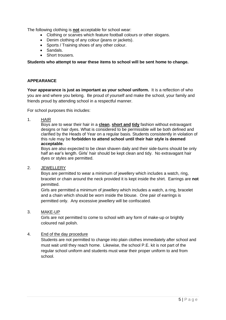The following clothing is **not** acceptable for school wear:

- Clothing or scarves which feature football colours or other slogans.
- Denim clothing of any colour (jeans or jackets).
- Sports / Training shoes of any other colour.
- Sandals.
- Short trousers.

**Students who attempt to wear these items to school will be sent home to change.**

#### **APPEARANCE**

**Your appearance is just as important as your school uniform.** It is a reflection of who you are and where you belong. Be proud of yourself and make the school, your family and friends proud by attending school in a respectful manner.

For school purposes this includes:

1. HAIR

Boys are to wear their hair in a **clean**, **short and tidy** fashion without extravagant designs or hair dyes. What is considered to be permissible will be both defined and clarified by the Heads of Year on a regular basis. Students consistently in violation of this rule may be **forbidden to attend school until their hair style is deemed acceptable**.

Boys are also expected to be clean shaven daily and their side-burns should be only half an ear's length. Girls' hair should be kept clean and tidy. No extravagant hair dyes or styles are permitted.

2. JEWELLERY

Boys are permitted to wear a minimum of jewellery which includes a watch, ring, bracelet or chain around the neck provided it is kept inside the shirt. Earrings are **not** permitted.

Girls are permitted a minimum of jewellery which includes a watch, a ring, bracelet and a chain which should be worn inside the blouse. One pair of earrings is permitted only. Any excessive jewellery will be confiscated.

3. MAKE-UP

Girls are not permitted to come to school with any form of make-up or brightly coloured nail polish.

#### 4. End of the day procedure

Students are not permitted to change into plain clothes immediately after school and must wait until they reach home. Likewise, the school P.E. kit is not part of the regular school uniform and students must wear their proper uniform to and from school.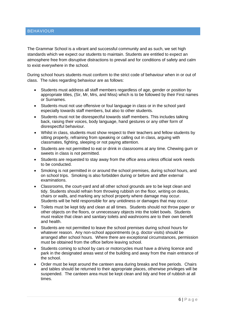#### BEHAVIOUR

The Grammar School is a vibrant and successful community and as such, we set high standards which we expect our students to maintain. Students are entitled to expect an atmosphere free from disruptive distractions to prevail and for conditions of safety and calm to exist everywhere in the school.

During school hours students must conform to the strict code of behaviour when in or out of class. The rules regarding behaviour are as follows:

- Students must address all staff members regardless of age, gender or position by appropriate titles, (Sir, Mr, Mrs, and Miss) which is to be followed by their First names or Surnames.
- Students must not use offensive or foul language in class or in the school yard especially towards staff members, but also to other students.
- Students must not be disrespectful towards staff members. This includes talking back, raising their voices, body language, hand gestures or any other form of disrespectful behaviour.
- Whilst in class, students must show respect to their teachers and fellow students by sitting properly, refraining from speaking or calling out in class, arguing with classmates, fighting, sleeping or not paying attention.
- Students are not permitted to eat or drink in classrooms at any time. Chewing gum or sweets in class is not permitted.
- Students are requested to stay away from the office area unless official work needs to be conducted.
- Smoking is not permitted in or around the school premises, during school hours, and on school trips. Smoking is also forbidden during or before and after external examinations.
- Classrooms, the court-yard and all other school grounds are to be kept clean and tidy. Students should refrain from throwing rubbish on the floor, writing on desks, chairs or walls, and marking any school property where damage may occur. Students will be held responsible for any untidiness or damages that may occur.
- Toilets must be kept tidy and clean at all times. Students should not throw paper or other objects on the floors, or unnecessary objects into the toilet bowls. Students must realize that clean and sanitary toilets and washrooms are to their own benefit and health.
- Students are not permitted to leave the school premises during school hours for whatever reason. Any non-school appointments (e.g. doctor visits) should be arranged after school hours. Where there are exceptional circumstances, permission must be obtained from the office before leaving school.
- Students coming to school by cars or motorcycles must have a driving licence and park in the designated areas west of the building and away from the main entrance of the school.
- Order must be kept around the canteen area during breaks and free periods. Chairs and tables should be returned to their appropriate places, otherwise privileges will be suspended. The canteen area must be kept clean and tidy and free of rubbish at all times.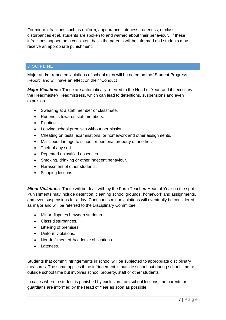For minor infractions such as uniform, appearance, lateness, rudeness, or class disturbances et al, students are spoken to and warned about their behaviour. If these infractions happen on a consistent basis the parents will be informed and students may receive an appropriate punishment.

## **DISCIPLINE**

Major and/or repeated violations of school rules will be noted on the "Student Progress Report" and will have an effect on their "Conduct".

*Major Violations***:** These are automatically referred to the Head of Year, and if necessary, the Headmaster/ Headmistress, which can lead to detentions, suspensions and even expulsion.

- Swearing at a staff member or classmate.
- Rudeness towards staff members.
- Fighting.
- Leaving school premises without permission.
- Cheating on tests, examinations, or homework and other assignments.
- Malicious damage to school or personal property of another.
- Theft of any sort.
- Repeated unjustified absences.
- Smoking, drinking or other indecent behaviour.
- Harassment of other students.
- Skipping lessons.

*Minor Violations*: These will be dealt with by the Form Teacher/ Head of Year on the spot. Punishments may include detention, cleaning school grounds, homework and assignments, and even suspensions for a day. Continuous minor violations will eventually be considered as major and will be referred to the Disciplinary Committee.

- Minor disputes between students.
- Class disturbances.
- Littering of premises.
- Uniform violations.
- Non-fulfilment of Academic obligations.
- Lateness.

Students that commit infringements in school will be subjected to appropriate disciplinary measures. The same applies if the infringement is outside school but during school time or outside school time but involves school property, staff or other students.

In cases where a student is punished by exclusion from school lessons, the parents or guardians are informed by the Head of Year as soon as possible.